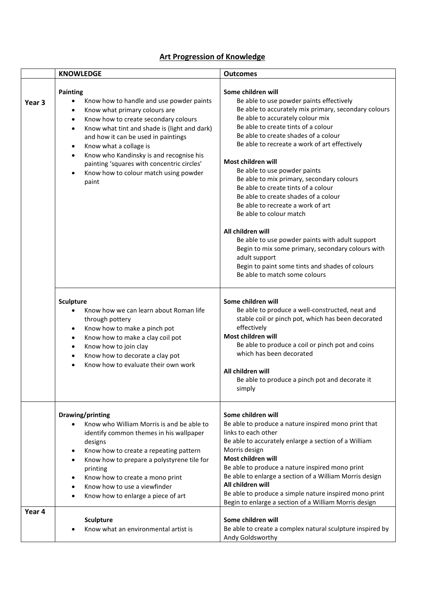## **Art Progression of Knowledge**

|                   | <b>KNOWLEDGE</b>                                                                                                                                                                                                                                                                                                                                                                                                                                                             | <b>Outcomes</b>                                                                                                                                                                                                                                                                                                                                                                                                                                                                                                                                                                                                                                                                                                                                                                |
|-------------------|------------------------------------------------------------------------------------------------------------------------------------------------------------------------------------------------------------------------------------------------------------------------------------------------------------------------------------------------------------------------------------------------------------------------------------------------------------------------------|--------------------------------------------------------------------------------------------------------------------------------------------------------------------------------------------------------------------------------------------------------------------------------------------------------------------------------------------------------------------------------------------------------------------------------------------------------------------------------------------------------------------------------------------------------------------------------------------------------------------------------------------------------------------------------------------------------------------------------------------------------------------------------|
| Year <sub>3</sub> | Painting<br>Know how to handle and use powder paints<br>$\bullet$<br>Know what primary colours are<br>$\bullet$<br>Know how to create secondary colours<br>$\bullet$<br>Know what tint and shade is (light and dark)<br>$\bullet$<br>and how it can be used in paintings<br>Know what a collage is<br>٠<br>Know who Kandinsky is and recognise his<br>$\bullet$<br>painting 'squares with concentric circles'<br>Know how to colour match using powder<br>$\bullet$<br>paint | Some children will<br>Be able to use powder paints effectively<br>Be able to accurately mix primary, secondary colours<br>Be able to accurately colour mix<br>Be able to create tints of a colour<br>Be able to create shades of a colour<br>Be able to recreate a work of art effectively<br>Most children will<br>Be able to use powder paints<br>Be able to mix primary, secondary colours<br>Be able to create tints of a colour<br>Be able to create shades of a colour<br>Be able to recreate a work of art<br>Be able to colour match<br>All children will<br>Be able to use powder paints with adult support<br>Begin to mix some primary, secondary colours with<br>adult support<br>Begin to paint some tints and shades of colours<br>Be able to match some colours |
|                   | <b>Sculpture</b><br>Know how we can learn about Roman life<br>$\bullet$<br>through pottery<br>Know how to make a pinch pot<br>$\bullet$<br>Know how to make a clay coil pot<br>$\bullet$<br>Know how to join clay<br>$\bullet$<br>Know how to decorate a clay pot<br>$\bullet$<br>Know how to evaluate their own work                                                                                                                                                        | Some children will<br>Be able to produce a well-constructed, neat and<br>stable coil or pinch pot, which has been decorated<br>effectively<br>Most children will<br>Be able to produce a coil or pinch pot and coins<br>which has been decorated<br>All children will<br>Be able to produce a pinch pot and decorate it<br>simply                                                                                                                                                                                                                                                                                                                                                                                                                                              |
|                   | Drawing/printing<br>Know who William Morris is and be able to<br>identify common themes in his wallpaper<br>designs<br>Know how to create a repeating pattern<br>$\bullet$<br>Know how to prepare a polystyrene tile for<br>printing<br>Know how to create a mono print<br>Know how to use a viewfinder<br>Know how to enlarge a piece of art                                                                                                                                | Some children will<br>Be able to produce a nature inspired mono print that<br>links to each other<br>Be able to accurately enlarge a section of a William<br>Morris design<br>Most children will<br>Be able to produce a nature inspired mono print<br>Be able to enlarge a section of a William Morris design<br>All children will<br>Be able to produce a simple nature inspired mono print<br>Begin to enlarge a section of a William Morris design                                                                                                                                                                                                                                                                                                                         |
| Year 4            | <b>Sculpture</b><br>Know what an environmental artist is                                                                                                                                                                                                                                                                                                                                                                                                                     | Some children will<br>Be able to create a complex natural sculpture inspired by<br>Andy Goldsworthy                                                                                                                                                                                                                                                                                                                                                                                                                                                                                                                                                                                                                                                                            |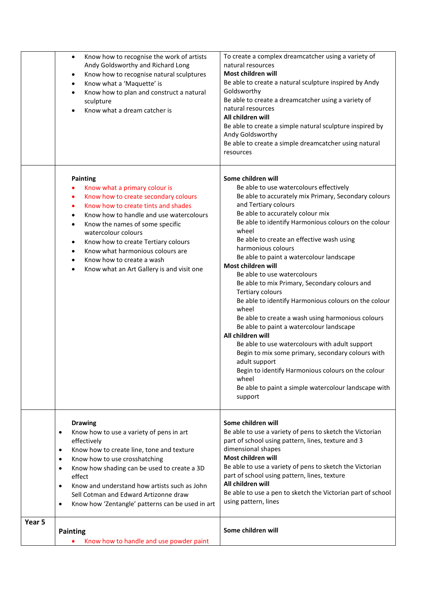| Know how to recognise the work of artists<br>$\bullet$<br>Andy Goldsworthy and Richard Long<br>Know how to recognise natural sculptures<br>٠<br>Know what a 'Maquette' is<br>٠<br>Know how to plan and construct a natural<br>$\bullet$<br>sculpture<br>Know what a dream catcher is                                                                                                                                                  | To create a complex dreamcatcher using a variety of<br>natural resources<br>Most children will<br>Be able to create a natural sculpture inspired by Andy<br>Goldsworthy<br>Be able to create a dreamcatcher using a variety of<br>natural resources<br>All children will<br>Be able to create a simple natural sculpture inspired by<br>Andy Goldsworthy<br>Be able to create a simple dreamcatcher using natural<br>resources                                                                                                                                                                                                                                                                                                                                                                                                                                                                                                                      |
|---------------------------------------------------------------------------------------------------------------------------------------------------------------------------------------------------------------------------------------------------------------------------------------------------------------------------------------------------------------------------------------------------------------------------------------|-----------------------------------------------------------------------------------------------------------------------------------------------------------------------------------------------------------------------------------------------------------------------------------------------------------------------------------------------------------------------------------------------------------------------------------------------------------------------------------------------------------------------------------------------------------------------------------------------------------------------------------------------------------------------------------------------------------------------------------------------------------------------------------------------------------------------------------------------------------------------------------------------------------------------------------------------------|
| <b>Painting</b><br>Know what a primary colour is<br>Know how to create secondary colours<br>٠<br>Know how to create tints and shades<br>$\bullet$<br>Know how to handle and use watercolours<br>$\bullet$<br>Know the names of some specific<br>$\bullet$<br>watercolour colours<br>Know how to create Tertiary colours<br>Know what harmonious colours are<br>Know how to create a wash<br>Know what an Art Gallery is and visit one | Some children will<br>Be able to use watercolours effectively<br>Be able to accurately mix Primary, Secondary colours<br>and Tertiary colours<br>Be able to accurately colour mix<br>Be able to identify Harmonious colours on the colour<br>wheel<br>Be able to create an effective wash using<br>harmonious colours<br>Be able to paint a watercolour landscape<br>Most children will<br>Be able to use watercolours<br>Be able to mix Primary, Secondary colours and<br><b>Tertiary colours</b><br>Be able to identify Harmonious colours on the colour<br>wheel<br>Be able to create a wash using harmonious colours<br>Be able to paint a watercolour landscape<br>All children will<br>Be able to use watercolours with adult support<br>Begin to mix some primary, secondary colours with<br>adult support<br>Begin to identify Harmonious colours on the colour<br>wheel<br>Be able to paint a simple watercolour landscape with<br>support |
| <b>Drawing</b><br>Know how to use a variety of pens in art<br>$\bullet$<br>effectively<br>Know how to create line, tone and texture<br>$\bullet$<br>Know how to use crosshatching<br>$\bullet$<br>Know how shading can be used to create a 3D<br>$\bullet$<br>effect<br>Know and understand how artists such as John<br>$\bullet$<br>Sell Cotman and Edward Artizonne draw<br>Know how 'Zentangle' patterns can be used in art<br>٠   | Some children will<br>Be able to use a variety of pens to sketch the Victorian<br>part of school using pattern, lines, texture and 3<br>dimensional shapes<br>Most children will<br>Be able to use a variety of pens to sketch the Victorian<br>part of school using pattern, lines, texture<br>All children will<br>Be able to use a pen to sketch the Victorian part of school<br>using pattern, lines                                                                                                                                                                                                                                                                                                                                                                                                                                                                                                                                            |
| Year 5<br><b>Painting</b><br>Know how to handle and use powder paint                                                                                                                                                                                                                                                                                                                                                                  | Some children will                                                                                                                                                                                                                                                                                                                                                                                                                                                                                                                                                                                                                                                                                                                                                                                                                                                                                                                                  |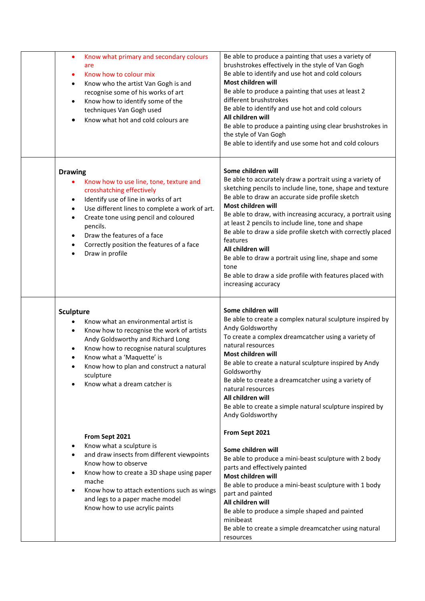| Know what primary and secondary colours<br>٠<br>are<br>Know how to colour mix<br>٠<br>Know who the artist Van Gogh is and<br>$\bullet$<br>recognise some of his works of art<br>Know how to identify some of the<br>techniques Van Gogh used<br>Know what hot and cold colours are                                                                               | Be able to produce a painting that uses a variety of<br>brushstrokes effectively in the style of Van Gogh<br>Be able to identify and use hot and cold colours<br>Most children will<br>Be able to produce a painting that uses at least 2<br>different brushstrokes<br>Be able to identify and use hot and cold colours<br>All children will<br>Be able to produce a painting using clear brushstrokes in<br>the style of Van Gogh<br>Be able to identify and use some hot and cold colours                                                                                                    |
|------------------------------------------------------------------------------------------------------------------------------------------------------------------------------------------------------------------------------------------------------------------------------------------------------------------------------------------------------------------|------------------------------------------------------------------------------------------------------------------------------------------------------------------------------------------------------------------------------------------------------------------------------------------------------------------------------------------------------------------------------------------------------------------------------------------------------------------------------------------------------------------------------------------------------------------------------------------------|
| <b>Drawing</b><br>Know how to use line, tone, texture and<br>crosshatching effectively<br>Identify use of line in works of art<br>٠<br>Use different lines to complete a work of art.<br>٠<br>Create tone using pencil and coloured<br>٠<br>pencils.<br>Draw the features of a face<br>$\bullet$<br>Correctly position the features of a face<br>Draw in profile | Some children will<br>Be able to accurately draw a portrait using a variety of<br>sketching pencils to include line, tone, shape and texture<br>Be able to draw an accurate side profile sketch<br>Most children will<br>Be able to draw, with increasing accuracy, a portrait using<br>at least 2 pencils to include line, tone and shape<br>Be able to draw a side profile sketch with correctly placed<br>features<br>All children will<br>Be able to draw a portrait using line, shape and some<br>tone<br>Be able to draw a side profile with features placed with<br>increasing accuracy |
| <b>Sculpture</b><br>Know what an environmental artist is<br>Know how to recognise the work of artists<br>$\bullet$<br>Andy Goldsworthy and Richard Long<br>Know how to recognise natural sculptures<br>٠<br>Know what a 'Maquette' is<br>٠<br>Know how to plan and construct a natural<br>sculpture<br>Know what a dream catcher is                              | Some children will<br>Be able to create a complex natural sculpture inspired by<br>Andy Goldsworthy<br>To create a complex dreamcatcher using a variety of<br>natural resources<br>Most children will<br>Be able to create a natural sculpture inspired by Andy<br>Goldsworthy<br>Be able to create a dreamcatcher using a variety of<br>natural resources<br>All children will<br>Be able to create a simple natural sculpture inspired by<br>Andy Goldsworthy                                                                                                                                |
| From Sept 2021<br>Know what a sculpture is<br>٠<br>and draw insects from different viewpoints<br>$\bullet$<br>Know how to observe<br>Know how to create a 3D shape using paper<br>٠<br>mache<br>Know how to attach extentions such as wings<br>$\bullet$<br>and legs to a paper mache model<br>Know how to use acrylic paints                                    | From Sept 2021<br>Some children will<br>Be able to produce a mini-beast sculpture with 2 body<br>parts and effectively painted<br>Most children will<br>Be able to produce a mini-beast sculpture with 1 body<br>part and painted<br>All children will<br>Be able to produce a simple shaped and painted<br>minibeast<br>Be able to create a simple dreamcatcher using natural<br>resources                                                                                                                                                                                                    |